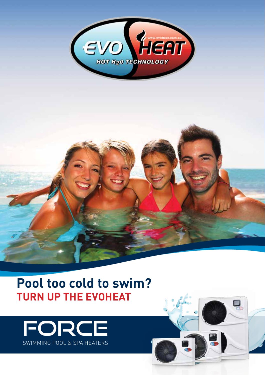

# **Pool too cold to swim? TURN UP THE EVOHEAT**



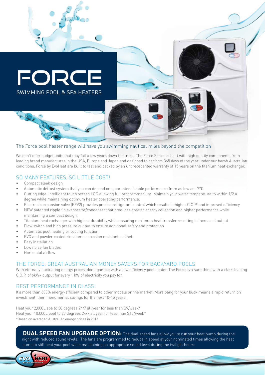

#### The Force pool heater range will have you swimming nautical miles beyond the competition

We don't offer budget units that may fail a few years down the track. The Force Series is built with high quality components from leading brand manufactures in the USA, Europe and Japan and designed to perform 365 days of the year under our harsh Australian conditions. Force by EvoHeat are built to last and backed by an unprecedented warranty of 15 years on the titanium heat exchanger.

#### SO MANY FEATURES, SO LITTLE COST!

- Compact sleek design
- Automatic defrost system that you can depend on, guaranteed stable performance from as low as -7°C
- Cutting edge, intelligent touch screen LCD allowing full programmability. Maintain your water temperature to within 1/2 a degree while maintaining optimum heater operating performance.
- Electronic expansion valve (EEV2) provides precise refrigerant control which results in higher C.O.P. and improved efficiency.
- NEW patented ripple fin evaporator/condenser that produces greater energy collection and higher performance while maintaining a compact design.
- Titanium heat exchanger with highest durability while ensuring maximum heat transfer resulting in increased output
- Flow switch and high pressure cut out to ensure additional safety and protection
- Automatic pool heating or cooling function
- PVC and powder coated zincalume corrosion resistant cabinet
- Easy installation
- Low noise fan blades
- Horizontal airflow

**EVO** 

## THE FORCE: GREAT AUSTRALIAN MONEY SAVERS FOR BACKYARD POOLS

With eternally fluctuating energy prices, don't gamble with a low efficiency pool heater. The Force is a sure thing with a class leading C.O.P. of 6kW+ output for every 1 kW of electricity you pay for.

## BEST PERFORMANCE IN CLASS!

It's more than 600% energy-efficient compared to other models on the market. More bang for your buck means a rapid return on investment, then monumental savings for the next 10-15 years.

Heat your 2,000L spa to 38 degrees 24/7 all year for less than \$9/week\* Heat your 10,000L pool to 27 degrees 24/7 all year for less than \$15/week\* \*Based on averaged Australian energy prices in 2017

**DUAL SPEED FAN UPGRADE OPTION:** The dual speed fans allow you to run your heat pump during the night with reduced sound levels. The fans are programmed to reduce in speed at your nominated times allowing the heat pump to still heat your pool while maintaining an appropriate sound level during the twilight hours.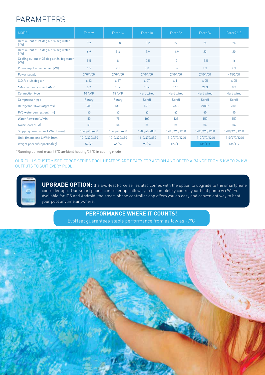## PARAMETERS

| <b>MODEL</b>                                      | Force <sub>9</sub> | Force14      | Force <sub>18</sub> | Force22       | Force26         | Force26-3     |
|---------------------------------------------------|--------------------|--------------|---------------------|---------------|-----------------|---------------|
| Heat output at 24 deg air 26 deg water<br>(kW)    | 9.2                | 13.8         | 18.2                | 22            | 26              | 26            |
| Heat output at 15 deg air 26 deg water<br>[kW]    | 6.9                | 9.6          | 13.9                | 16.9          | 20              | 20            |
| Cooling output at 35 deg air 24 deg water<br>(kW) | 5.5                | 8            | 10.5                | 13            | 15.5            | 16            |
| Power input at 24 deg air (kW)                    | 1.5                | 2.1          | 3.0                 | 3.6           | 4.3             | 4.3           |
| Power supply                                      | 240/1/50           | 240/1/50     | 240/1/50            | 240/1/50      | 240/1/50        | 415/3/50      |
| C.O.P. at 24 deg air                              | 6.13               | 6.57         | 6.07                | 6.11          | 6.05            | 6.05          |
| *Max running current AMPS                         | 6.7                | 10.4         | 13.4                | 16.1          | 21.3            | 8.7           |
| Connection type                                   | <b>10 AMP</b>      | 15 AMP       | Hard wired          | Hard wired    | Hard wired      | Hard wired    |
| Compressor type                                   | Rotary             | Rotary       | Scroll              | Scroll        | Scroll          | Scroll        |
| Refrigerant (R410A/grams)                         | 900                | 1300         | 1600                | 2300          | 2400*           | 2500          |
| PVC water connection [mm]                         | 40                 | 40           | 40                  | 40            | 40 <sup>°</sup> | 40            |
| Water flow rate(L/min)                            | 50                 | 75           | 100                 | 125           | 150             | 150           |
| Noise level dB(A)                                 | 51                 | 54           | 56                  | 56            | 56              | 56            |
| Shipping dimensions LxWxH (mm)                    | 1060/440/680       | 1060/440/680 | 1200/480/880        | 1200/490/1280 | 1200/490/1280   | 1200/490/1280 |
| Unit dimensions LxWxH (mm)                        | 1010/420/650       | 1010/420/650 | 1110/470/850        | 1110/470/1240 | 1110/470/1240   | 1110/470/1240 |
| Weight packed/unpacked(kg)                        | 59/47              | 66/54        | 99/84               | 129/110       | 135/114         | 135/117       |

\*Running current max: 43°C ambient heating/29°C in cooling mode

OUR FULLY-CUSTOMISED FORCE SERIES POOL HEATERS ARE READY FOR ACTION AND OFFER A RANGE FROM 5 KW TO 26 KW OUTPUTS TO SUIT EVERY POOL!

**UPGRADE OPTION:** the EvoHeat Force series also comes with the option to upgrade to the smartphone controller app. Our smart phone controller app allows you to completely control your heat pump via Wi-Fi. Available for iOS and Android, the smart phone controller app offers you an easy and convenient way to heat your pool anytime,anywhere.

## **PERFORMANCE WHERE IT COUNTS!**

EvoHeat guarantees stable performance from as low as -7°C